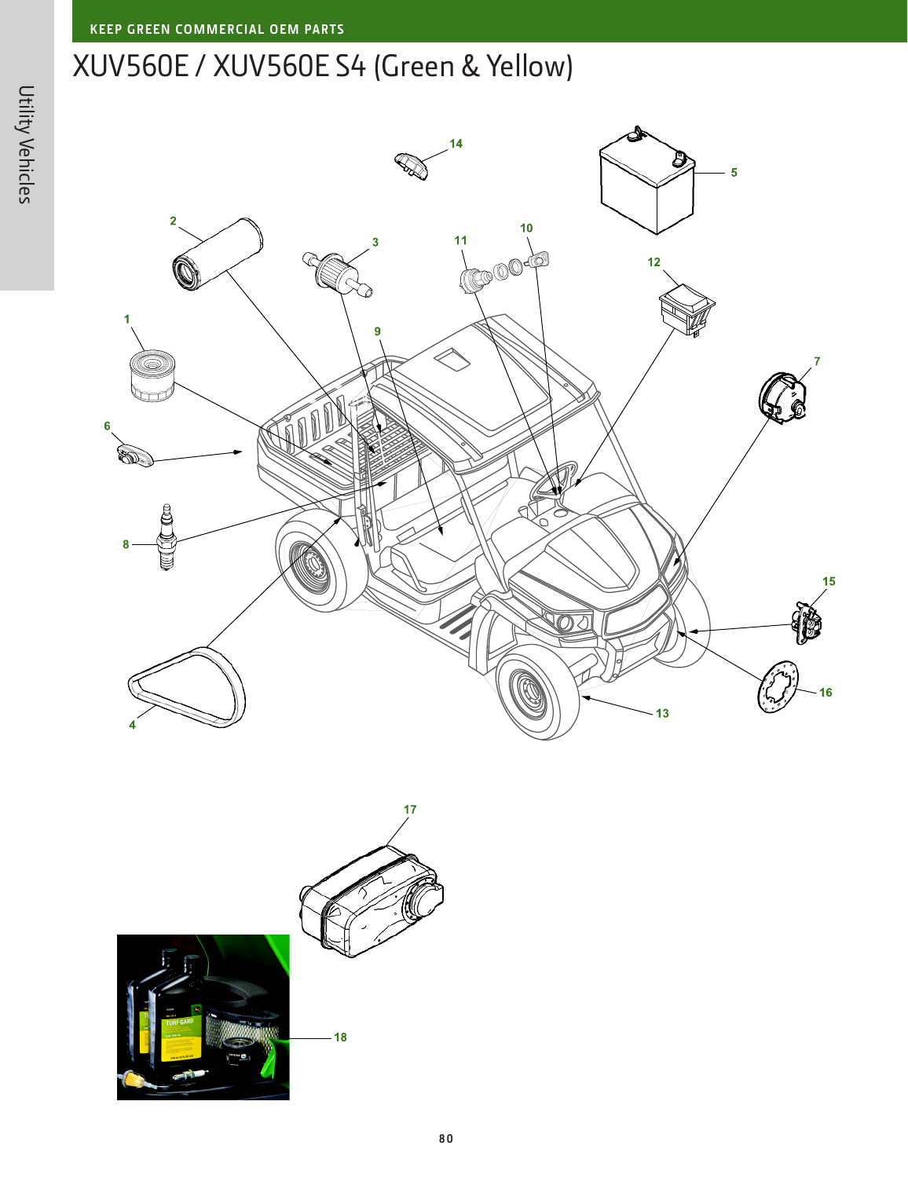## XUV560E / XUV560E S4 (Green & Yellow)